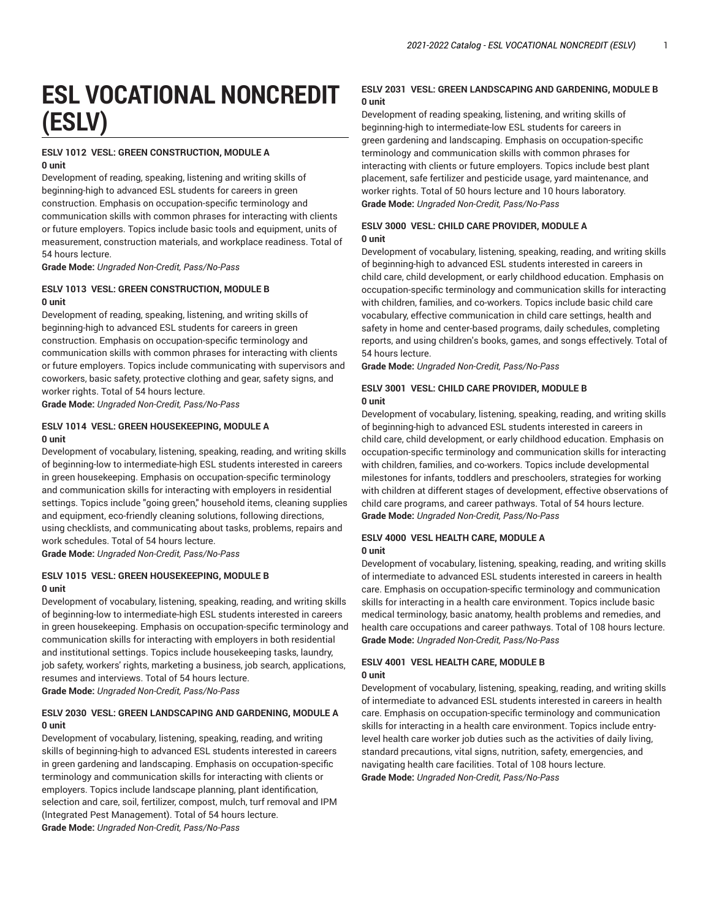# **ESL VOCATIONAL NONCREDIT (ESLV)**

## **ESLV 1012 VESL: GREEN CONSTRUCTION, MODULE A**

#### **0 unit**

Development of reading, speaking, listening and writing skills of beginning-high to advanced ESL students for careers in green construction. Emphasis on occupation-specific terminology and communication skills with common phrases for interacting with clients or future employers. Topics include basic tools and equipment, units of measurement, construction materials, and workplace readiness. Total of 54 hours lecture.

**Grade Mode:** *Ungraded Non-Credit, Pass/No-Pass*

## **ESLV 1013 VESL: GREEN CONSTRUCTION, MODULE B 0 unit**

Development of reading, speaking, listening, and writing skills of beginning-high to advanced ESL students for careers in green construction. Emphasis on occupation-specific terminology and communication skills with common phrases for interacting with clients or future employers. Topics include communicating with supervisors and coworkers, basic safety, protective clothing and gear, safety signs, and worker rights. Total of 54 hours lecture.

**Grade Mode:** *Ungraded Non-Credit, Pass/No-Pass*

## **ESLV 1014 VESL: GREEN HOUSEKEEPING, MODULE A 0 unit**

Development of vocabulary, listening, speaking, reading, and writing skills of beginning-low to intermediate-high ESL students interested in careers in green housekeeping. Emphasis on occupation-specific terminology and communication skills for interacting with employers in residential settings. Topics include "going green," household items, cleaning supplies and equipment, eco-friendly cleaning solutions, following directions, using checklists, and communicating about tasks, problems, repairs and work schedules. Total of 54 hours lecture.

**Grade Mode:** *Ungraded Non-Credit, Pass/No-Pass*

## **ESLV 1015 VESL: GREEN HOUSEKEEPING, MODULE B 0 unit**

Development of vocabulary, listening, speaking, reading, and writing skills of beginning-low to intermediate-high ESL students interested in careers in green housekeeping. Emphasis on occupation-specific terminology and communication skills for interacting with employers in both residential and institutional settings. Topics include housekeeping tasks, laundry, job safety, workers' rights, marketing a business, job search, applications, resumes and interviews. Total of 54 hours lecture.

**Grade Mode:** *Ungraded Non-Credit, Pass/No-Pass*

## **ESLV 2030 VESL: GREEN LANDSCAPING AND GARDENING, MODULE A 0 unit**

Development of vocabulary, listening, speaking, reading, and writing skills of beginning-high to advanced ESL students interested in careers in green gardening and landscaping. Emphasis on occupation-specific terminology and communication skills for interacting with clients or employers. Topics include landscape planning, plant identification, selection and care, soil, fertilizer, compost, mulch, turf removal and IPM (Integrated Pest Management). Total of 54 hours lecture. **Grade Mode:** *Ungraded Non-Credit, Pass/No-Pass*

## **ESLV 2031 VESL: GREEN LANDSCAPING AND GARDENING, MODULE B 0 unit**

Development of reading speaking, listening, and writing skills of beginning-high to intermediate-low ESL students for careers in green gardening and landscaping. Emphasis on occupation-specific terminology and communication skills with common phrases for interacting with clients or future employers. Topics include best plant placement, safe fertilizer and pesticide usage, yard maintenance, and worker rights. Total of 50 hours lecture and 10 hours laboratory. **Grade Mode:** *Ungraded Non-Credit, Pass/No-Pass*

## **ESLV 3000 VESL: CHILD CARE PROVIDER, MODULE A 0 unit**

Development of vocabulary, listening, speaking, reading, and writing skills of beginning-high to advanced ESL students interested in careers in child care, child development, or early childhood education. Emphasis on occupation-specific terminology and communication skills for interacting with children, families, and co-workers. Topics include basic child care vocabulary, effective communication in child care settings, health and safety in home and center-based programs, daily schedules, completing reports, and using children's books, games, and songs effectively. Total of 54 hours lecture.

**Grade Mode:** *Ungraded Non-Credit, Pass/No-Pass*

## **ESLV 3001 VESL: CHILD CARE PROVIDER, MODULE B 0 unit**

Development of vocabulary, listening, speaking, reading, and writing skills of beginning-high to advanced ESL students interested in careers in child care, child development, or early childhood education. Emphasis on occupation-specific terminology and communication skills for interacting with children, families, and co-workers. Topics include developmental milestones for infants, toddlers and preschoolers, strategies for working with children at different stages of development, effective observations of child care programs, and career pathways. Total of 54 hours lecture. **Grade Mode:** *Ungraded Non-Credit, Pass/No-Pass*

## **ESLV 4000 VESL HEALTH CARE, MODULE A 0 unit**

Development of vocabulary, listening, speaking, reading, and writing skills of intermediate to advanced ESL students interested in careers in health care. Emphasis on occupation-specific terminology and communication skills for interacting in a health care environment. Topics include basic medical terminology, basic anatomy, health problems and remedies, and health care occupations and career pathways. Total of 108 hours lecture. **Grade Mode:** *Ungraded Non-Credit, Pass/No-Pass*

#### **ESLV 4001 VESL HEALTH CARE, MODULE B 0 unit**

Development of vocabulary, listening, speaking, reading, and writing skills of intermediate to advanced ESL students interested in careers in health care. Emphasis on occupation-specific terminology and communication skills for interacting in a health care environment. Topics include entrylevel health care worker job duties such as the activities of daily living, standard precautions, vital signs, nutrition, safety, emergencies, and navigating health care facilities. Total of 108 hours lecture. **Grade Mode:** *Ungraded Non-Credit, Pass/No-Pass*